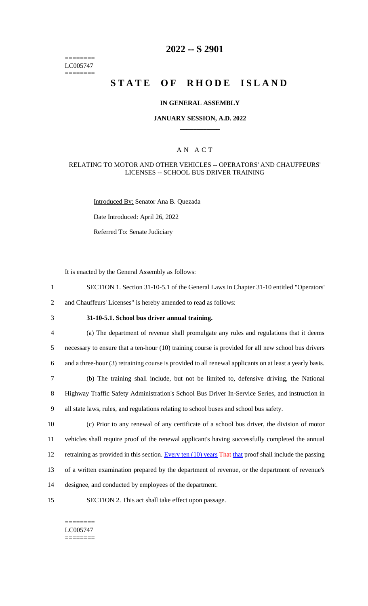======== LC005747 ========

# **2022 -- S 2901**

# **STATE OF RHODE ISLAND**

### **IN GENERAL ASSEMBLY**

### **JANUARY SESSION, A.D. 2022 \_\_\_\_\_\_\_\_\_\_\_\_**

### A N A C T

### RELATING TO MOTOR AND OTHER VEHICLES -- OPERATORS' AND CHAUFFEURS' LICENSES -- SCHOOL BUS DRIVER TRAINING

Introduced By: Senator Ana B. Quezada

Date Introduced: April 26, 2022

Referred To: Senate Judiciary

It is enacted by the General Assembly as follows:

1 SECTION 1. Section 31-10-5.1 of the General Laws in Chapter 31-10 entitled "Operators'

2 and Chauffeurs' Licenses" is hereby amended to read as follows:

# 3 **31-10-5.1. School bus driver annual training.**

 (a) The department of revenue shall promulgate any rules and regulations that it deems necessary to ensure that a ten-hour (10) training course is provided for all new school bus drivers and a three-hour (3) retraining course is provided to all renewal applicants on at least a yearly basis. (b) The training shall include, but not be limited to, defensive driving, the National Highway Traffic Safety Administration's School Bus Driver In-Service Series, and instruction in all state laws, rules, and regulations relating to school buses and school bus safety.

 (c) Prior to any renewal of any certificate of a school bus driver, the division of motor vehicles shall require proof of the renewal applicant's having successfully completed the annual 12 retraining as provided in this section. Every ten (10) years That that proof shall include the passing of a written examination prepared by the department of revenue, or the department of revenue's designee, and conducted by employees of the department.

15 SECTION 2. This act shall take effect upon passage.

======== LC005747 ========